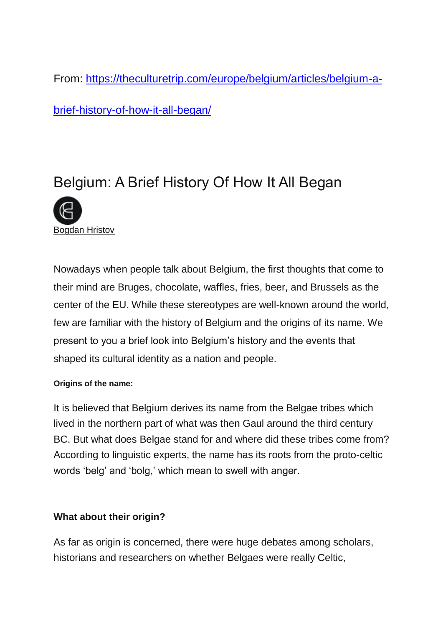From: [https://theculturetrip.com/europe/belgium/articles/belgium-a-](https://theculturetrip.com/europe/belgium/articles/belgium-a-brief-history-of-how-it-all-began/)

[brief-history-of-how-it-all-began/](https://theculturetrip.com/europe/belgium/articles/belgium-a-brief-history-of-how-it-all-began/)

# Belgium: A Brief History Of How It All Began



Nowadays when people talk about Belgium, the first thoughts that come to their mind are Bruges, chocolate, waffles, fries, beer, and Brussels as the center of the EU. While these stereotypes are well-known around the world, few are familiar with the history of Belgium and the origins of its name. We present to you a brief look into Belgium's history and the events that shaped its cultural identity as a nation and people.

## **Origins of the name:**

It is believed that Belgium derives its name from the Belgae tribes which lived in the northern part of what was then Gaul around the third century BC. But what does Belgae stand for and where did these tribes come from? According to linguistic experts, the name has its roots from the proto-celtic words 'belg' and 'bolg,' which mean to swell with anger.

## **What about their origin?**

As far as origin is concerned, there were huge debates among scholars, historians and researchers on whether Belgaes were really Celtic,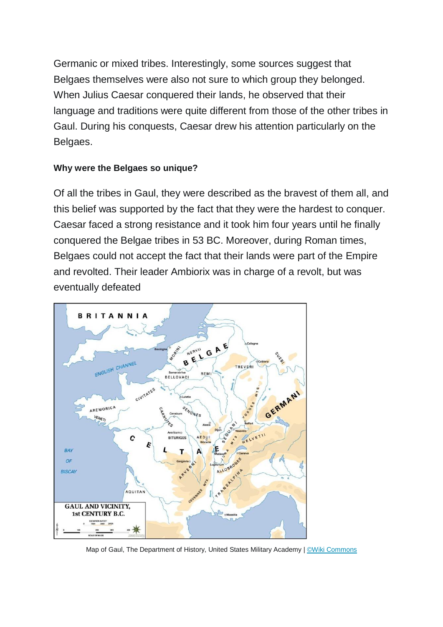Germanic or mixed tribes. Interestingly, some sources suggest that Belgaes themselves were also not sure to which group they belonged. When Julius Caesar conquered their lands, he observed that their language and traditions were quite different from those of the other tribes in Gaul. During his conquests, Caesar drew his attention particularly on the Belgaes.

## **Why were the Belgaes so unique?**

Of all the tribes in Gaul, they were described as the bravest of them all, and this belief was supported by the fact that they were the hardest to conquer. Caesar faced a strong resistance and it took him four years until he finally conquered the Belgae tribes in 53 BC. Moreover, during Roman times, Belgaes could not accept the fact that their lands were part of the Empire and revolted. Their leader Ambiorix was in charge of a revolt, but was eventually defeated



Map of Gaul, The Department of History, United States Military Academy | Wiki Commons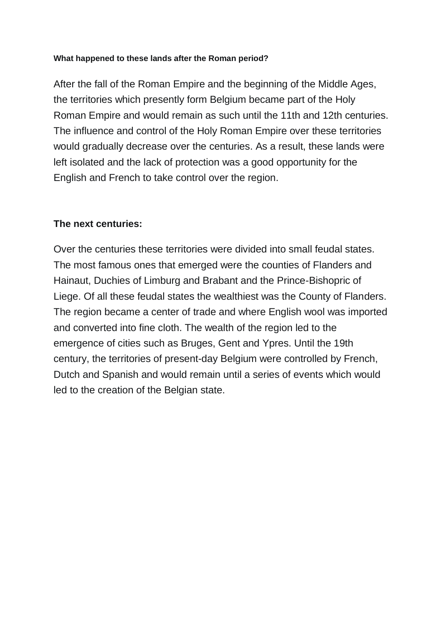#### **What happened to these lands after the Roman period?**

After the fall of the Roman Empire and the beginning of the Middle Ages, the territories which presently form Belgium became part of the Holy Roman Empire and would remain as such until the 11th and 12th centuries. The influence and control of the Holy Roman Empire over these territories would gradually decrease over the centuries. As a result, these lands were left isolated and the lack of protection was a good opportunity for the English and French to take control over the region.

## **The next centuries:**

Over the centuries these territories were divided into small feudal states. The most famous ones that emerged were the counties of Flanders and Hainaut, Duchies of Limburg and Brabant and the Prince-Bishopric of Liege. Of all these feudal states the wealthiest was the County of Flanders. The region became a center of trade and where English wool was imported and converted into fine cloth. The wealth of the region led to the emergence of cities such as Bruges, Gent and Ypres. Until the 19th century, the territories of present-day Belgium were controlled by French, Dutch and Spanish and would remain until a series of events which would led to the creation of the Belgian state.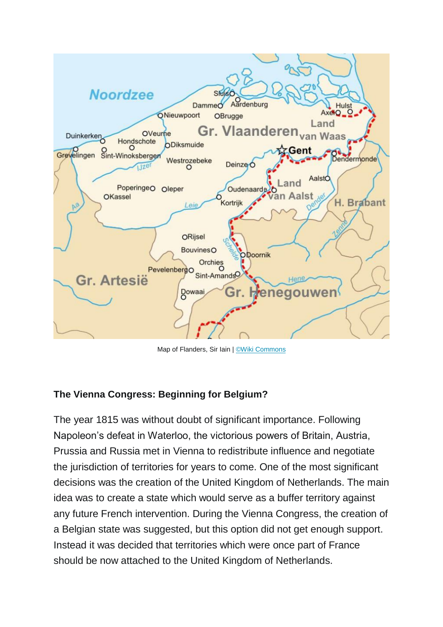

Map of Flanders, Sir Iain | [©Wiki Commons](https://en.wikipedia.org/wiki/County_of_Flanders#/media/File:County_of_Flanders_(topogaphy).png)

## **The Vienna Congress: Beginning for Belgium?**

The year 1815 was without doubt of significant importance. Following Napoleon's defeat in Waterloo, the victorious powers of Britain, Austria, Prussia and Russia met in Vienna to redistribute influence and negotiate the jurisdiction of territories for years to come. One of the most significant decisions was the creation of the United Kingdom of Netherlands. The main idea was to create a state which would serve as a buffer territory against any future French intervention. During the Vienna Congress, the creation of a Belgian state was suggested, but this option did not get enough support. Instead it was decided that territories which were once part of France should be now attached to the United Kingdom of Netherlands.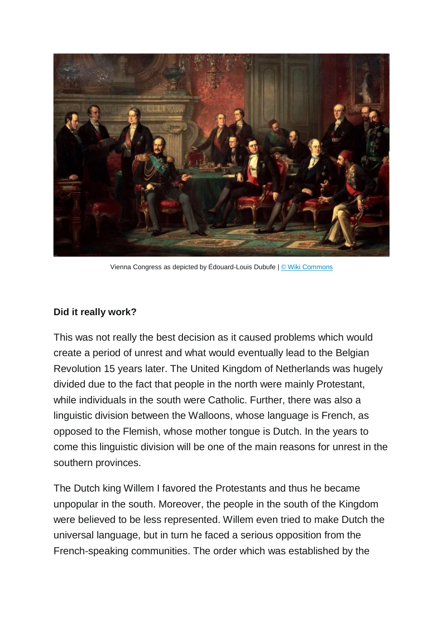

Vienna Congress as depicted by Édouard-Louis Dubufe | [© Wiki Commons](https://en.wikipedia.org/wiki/International_relations_of_the_Great_Powers_(1814%E2%80%931919)#/media/File:Edouard_Dubufe_Congr%C3%A8s_de_Paris.jpg)

#### **Did it really work?**

This was not really the best decision as it caused problems which would create a period of unrest and what would eventually lead to the Belgian Revolution 15 years later. The United Kingdom of Netherlands was hugely divided due to the fact that people in the north were mainly Protestant, while individuals in the south were Catholic. Further, there was also a linguistic division between the Walloons, whose language is French, as opposed to the Flemish, whose mother tongue is Dutch. In the years to come this linguistic division will be one of the main reasons for unrest in the southern provinces.

The Dutch king Willem I favored the Protestants and thus he became unpopular in the south. Moreover, the people in the south of the Kingdom were believed to be less represented. Willem even tried to make Dutch the universal language, but in turn he faced a serious opposition from the French-speaking communities. The order which was established by the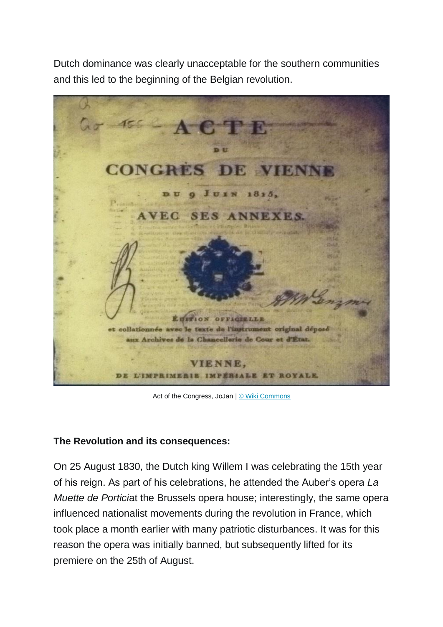Dutch dominance was clearly unacceptable for the southern communities and this led to the beginning of the Belgian revolution.



Act of the Congress, JoJan | [© Wiki Commons](https://en.wikipedia.org/wiki/Congress_of_Vienna#/media/File:Berlin_.Gendarmenmarkt_.Deutscher_Dom_010.jpg)

## **The Revolution and its consequences:**

On 25 August 1830, the Dutch king Willem I was celebrating the 15th year of his reign. As part of his celebrations, he attended the Auber's opera *La Muette de Portici*at the Brussels opera house; interestingly, the same opera influenced nationalist movements during the revolution in France, which took place a month earlier with many patriotic disturbances. It was for this reason the opera was initially banned, but subsequently lifted for its premiere on the 25th of August.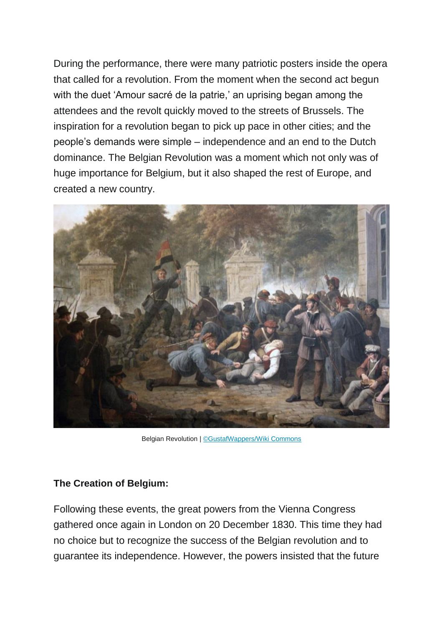During the performance, there were many patriotic posters inside the opera that called for a revolution. From the moment when the second act begun with the duet 'Amour sacré de la patrie,' an uprising began among the attendees and the revolt quickly moved to the streets of Brussels. The inspiration for a revolution began to pick up pace in other cities; and the people's demands were simple – independence and an end to the Dutch dominance. The Belgian Revolution was a moment which not only was of huge importance for Belgium, but it also shaped the rest of Europe, and created a new country.



Belgian Revolution | [©GustafWappers/Wiki Commons](https://en.wikipedia.org/wiki/Belgian_Revolution#/media/File:Wappers_-_Episodes_from_September_Days_1830_on_the_Place_de_l%E2%80%99H%C3%B4tel_de_Ville_in_Brussels.JPG)

#### **The Creation of Belgium:**

Following these events, the great powers from the Vienna Congress gathered once again in London on 20 December 1830. This time they had no choice but to recognize the success of the Belgian revolution and to guarantee its independence. However, the powers insisted that the future